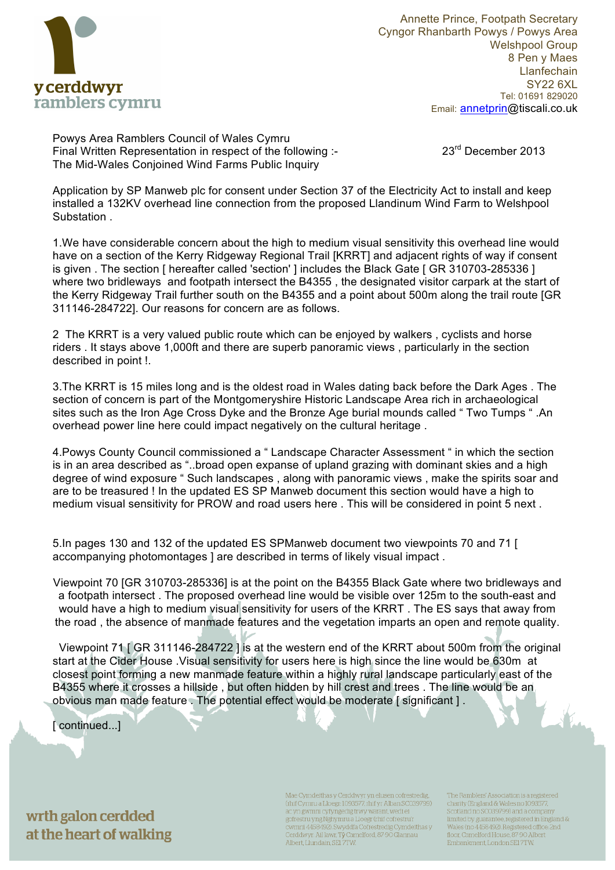

Annette Prince, Footpath Secretary Cyngor Rhanbarth Powys / Powys Area Welshpool Group 8 Pen y Maes **Llanfechain** SY22 6XL Tel: 01691 829020 Email: annetprin@tiscali.co.uk

Powys Area Ramblers Council of Wales Cymru Final Written Representation in respect of the following :- 23<sup>rd</sup> December 2013 The Mid-Wales Conjoined Wind Farms Public Inquiry

Application by SP Manweb plc for consent under Section 37 of the Electricity Act to install and keep installed a 132KV overhead line connection from the proposed Llandinum Wind Farm to Welshpool Substation .

1.We have considerable concern about the high to medium visual sensitivity this overhead line would have on a section of the Kerry Ridgeway Regional Trail [KRRT] and adjacent rights of way if consent is given . The section [ hereafter called 'section' ] includes the Black Gate [ GR 310703-285336 ] where two bridleways and footpath intersect the B4355 , the designated visitor carpark at the start of the Kerry Ridgeway Trail further south on the B4355 and a point about 500m along the trail route [GR 311146-284722]. Our reasons for concern are as follows.

2 The KRRT is a very valued public route which can be enjoyed by walkers , cyclists and horse riders . It stays above 1,000ft and there are superb panoramic views , particularly in the section described in point !.

3.The KRRT is 15 miles long and is the oldest road in Wales dating back before the Dark Ages . The section of concern is part of the Montgomeryshire Historic Landscape Area rich in archaeological sites such as the Iron Age Cross Dyke and the Bronze Age burial mounds called " Two Tumps " .An overhead power line here could impact negatively on the cultural heritage .

4.Powys County Council commissioned a " Landscape Character Assessment " in which the section is in an area described as "..broad open expanse of upland grazing with dominant skies and a high degree of wind exposure " Such landscapes , along with panoramic views , make the spirits soar and are to be treasured ! In the updated ES SP Manweb document this section would have a high to medium visual sensitivity for PROW and road users here . This will be considered in point 5 next .

5.In pages 130 and 132 of the updated ES SPManweb document two viewpoints 70 and 71 [ accompanying photomontages I are described in terms of likely visual impact.

Viewpoint 70 [GR 310703-285336] is at the point on the B4355 Black Gate where two bridleways and a footpath intersect . The proposed overhead line would be visible over 125m to the south-east and would have a high to medium visual sensitivity for users of the KRRT . The ES says that away from the road , the absence of manmade features and the vegetation imparts an open and remote quality.

 Viewpoint 71 [ GR 311146-284722 ] is at the western end of the KRRT about 500m from the original start at the Cider House .Visual sensitivity for users here is high since the line would be 630m at closest point forming a new manmade feature within a highly rural landscape particularly east of the B4355 where it crosses a hillside , but often hidden by hill crest and trees . The line would be an obvious man made feature . The potential effect would be moderate [ significant ] .

[ continued...]

wrth galon cerdded at the heart of walking

Mae Cymdeithas y Cerddwyr yn elusen cofrestredig (rhif Cymru a Lloegr: 1093577, rhif yr Alban SC039799) ac yn gwmni cyfyngedig trwy warant, wedi ei gofrestru yng Nghymru a Lloegr (rhif cofrestru'r<br>cwmni 4458492). Swyddfa Cofrestredig Cymdeithas y Cerddwyr: Ail lawr, Tŷ Camelford, 87-90 Glannau Albert, Llundain, SE17TW.

The Ramblers' Association is a registered charity (England & Wales no 109357) Scotland no SCO39799) and a company limited by guarantee, registered in England &<br>Wales (no 4458492). Registered office: 2nd floor, Camelford House, 87-90 Albert Embankment, London SEI 7TW.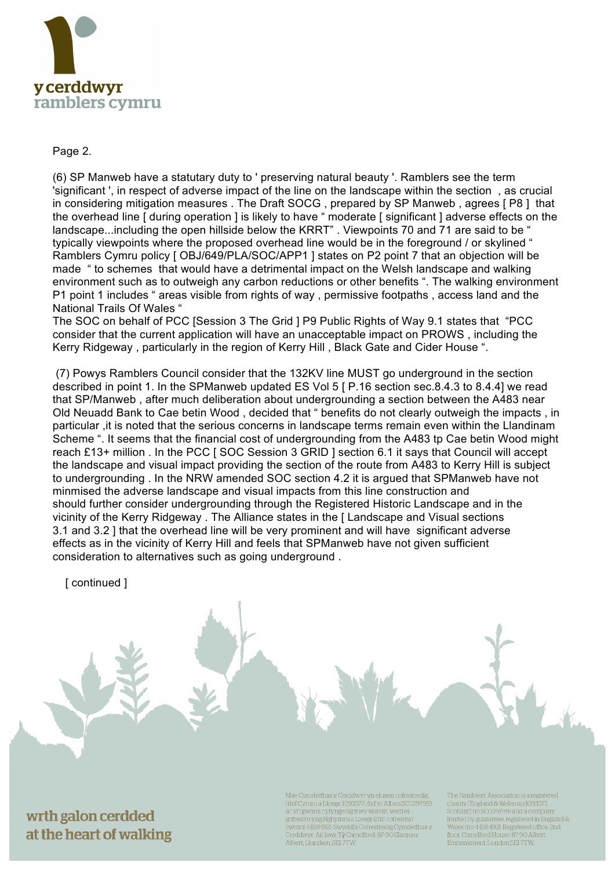

## Page 2.

(6) SP Manweb have a statutary duty to ' preserving natural beauty '. Ramblers see the term 'significant ', in respect of adverse impact of the line on the landscape within the section , as crucial in considering mitigation measures . The Draft SOCG , prepared by SP Manweb , agrees [ P8 ] that the overhead line [ during operation ] is likely to have " moderate [ significant ] adverse effects on the landscape...including the open hillside below the KRRT". Viewpoints 70 and 71 are said to be " typically viewpoints where the proposed overhead line would be in the foreground / or skylined " Ramblers Cymru policy [ OBJ/649/PLA/SOC/APP1 ] states on P2 point 7 that an objection will be made " to schemes that would have a detrimental impact on the Welsh landscape and walking environment such as to outweigh any carbon reductions or other benefits ". The walking environment P1 point 1 includes " areas visible from rights of way , permissive footpaths , access land and the National Trails Of Wales "

The SOC on behalf of PCC [Session 3 The Grid ] P9 Public Rights of Way 9.1 states that "PCC consider that the current application will have an unacceptable impact on PROWS , including the Kerry Ridgeway , particularly in the region of Kerry Hill , Black Gate and Cider House ".

(7) Powys Ramblers Council consider that the 132KV line MUST go underground in the section described in point 1. In the SPManweb updated ES Vol 5 [ P.16 section sec.8.4.3 to 8.4.4] we read that SP/Manweb , after much deliberation about undergrounding a section between the A483 near Old Neuadd Bank to Cae betin Wood , decided that " benefits do not clearly outweigh the impacts , in particular ,it is noted that the serious concerns in landscape terms remain even within the Llandinam Scheme ". It seems that the financial cost of undergrounding from the A483 tp Cae betin Wood might reach £13+ million . In the PCC [ SOC Session 3 GRID ] section 6.1 it says that Council will accept the landscape and visual impact providing the section of the route from A483 to Kerry Hill is subject to undergrounding . In the NRW amended SOC section 4.2 it is argued that SPManweb have not minmised the adverse landscape and visual impacts from this line construction and should further consider undergrounding through the Registered Historic Landscape and in the vicinity of the Kerry Ridgeway . The Alliance states in the [ Landscape and Visual sections 3.1 and 3.2 ] that the overhead line will be very prominent and will have significant adverse effects as in the vicinity of Kerry Hill and feels that SPManweb have not given sufficient consideration to alternatives such as going underground .

**[** continued 1

wrth galon cerdded at the heart of walking

Mae Cymdeithas y Cerddwyr yn elusen cofrestredig (rhif Cymru a Lloegr: 1093577, rhif yr Alban SC039799) ac yn gwmni cyfyngedig trwy warant, wedi ei gofrestru yng Nghymru a Lloegr (rhif cofrestru'r<br>cwmni 4458492). Swyddfa Cofrestredig Cymdeithas y Cerddwyr: Ail lawr, Tŷ Camelford, 87-90 Glannau Albert, Llundain, SE17TW.

The Ramblers' Association is a registered charity (England & Wales no 1093577 Scotland no SC039799) and a company limited by guarantee, registered in England &<br>Wales (no 4458492). Registered office: 2nd floor, Camelford House, 87-90 Albert Embankment, London SEI 7TW.